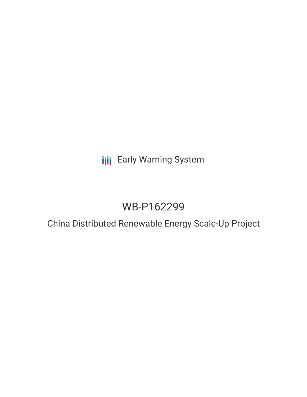# **III** Early Warning System

# WB-P162299

## China Distributed Renewable Energy Scale-Up Project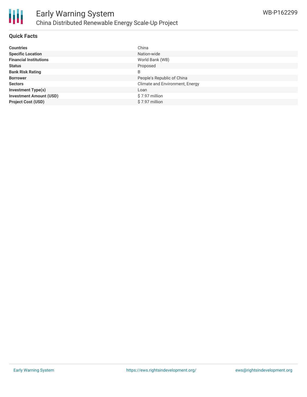

#### **Quick Facts**

| <b>Countries</b>               | China                           |
|--------------------------------|---------------------------------|
| <b>Specific Location</b>       | Nation-wide                     |
| <b>Financial Institutions</b>  | World Bank (WB)                 |
| <b>Status</b>                  | Proposed                        |
| <b>Bank Risk Rating</b>        | B                               |
| <b>Borrower</b>                | People's Republic of China      |
| <b>Sectors</b>                 | Climate and Environment, Energy |
| <b>Investment Type(s)</b>      | Loan                            |
| <b>Investment Amount (USD)</b> | \$7.97 million                  |
| <b>Project Cost (USD)</b>      | \$7.97 million                  |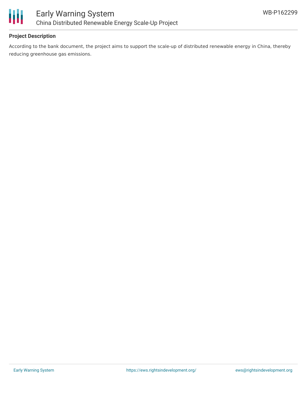

#### **Project Description**

According to the bank document, the project aims to support the scale-up of distributed renewable energy in China, thereby reducing greenhouse gas emissions.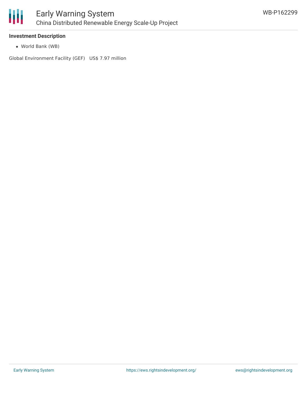

#### **Investment Description**

World Bank (WB)

Global Environment Facility (GEF) US\$ 7.97 million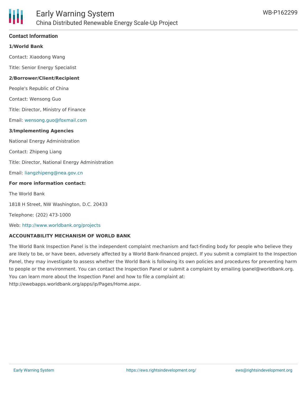

#### **Contact Information**

#### **1/World Bank**

Contact: Xiaodong Wang

Title: Senior Energy Specialist

#### **2/Borrower/Client/Recipient**

People's Republic of China

Contact: Wensong Guo

Title: Director, Ministry of Finance

Email: [wensong.guo@foxmail.com](mailto:wensong.guo@foxmail.com)

#### **3/Implementing Agencies**

National Energy Administration

Contact: Zhipeng Liang

Title: Director, National Energy Administration

Email: [liangzhipeng@nea.gov.cn](mailto:liangzhipeng@nea.gov.cn)

#### **For more information contact:**

The World Bank

1818 H Street, NW Washington, D.C. 20433

Telephone: (202) 473-1000

Web: <http://www.worldbank.org/projects>

#### **ACCOUNTABILITY MECHANISM OF WORLD BANK**

The World Bank Inspection Panel is the independent complaint mechanism and fact-finding body for people who believe they are likely to be, or have been, adversely affected by a World Bank-financed project. If you submit a complaint to the Inspection Panel, they may investigate to assess whether the World Bank is following its own policies and procedures for preventing harm to people or the environment. You can contact the Inspection Panel or submit a complaint by emailing ipanel@worldbank.org. You can learn more about the Inspection Panel and how to file a complaint at: http://ewebapps.worldbank.org/apps/ip/Pages/Home.aspx.